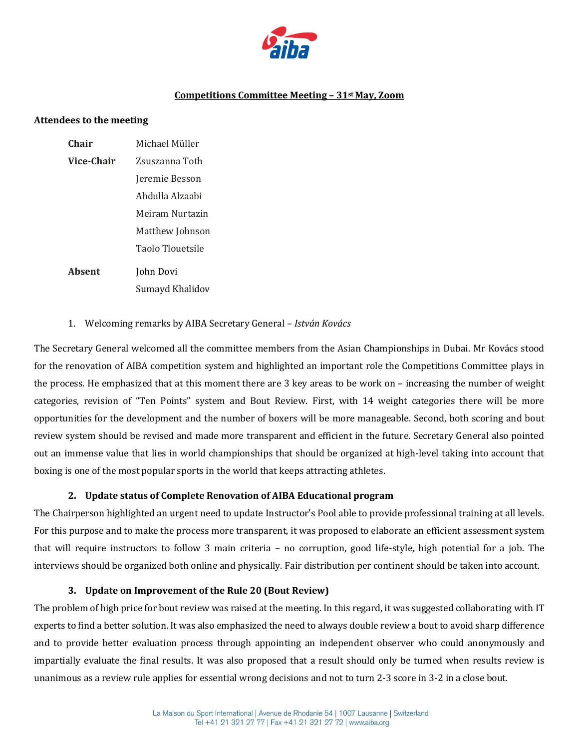

### **Competitions Committee Meeting – 31st May, Zoom**

#### **Attendees to the meeting**

| <b>Chair</b>  | Michael Müller   |
|---------------|------------------|
| Vice-Chair    | Zsuszanna Toth   |
|               | Jeremie Besson   |
|               | Abdulla Alzaabi  |
|               | Meiram Nurtazin  |
|               | Matthew Johnson  |
|               | Taolo Tlouetsile |
| <b>Absent</b> | John Dovi        |
|               | Sumayd Khalidov  |

### 1. Welcoming remarks by AIBA Secretary General – *István Kovács*

The Secretary General welcomed all the committee members from the Asian Championships in Dubai. Mr Kovács stood for the renovation of AIBA competition system and highlighted an important role the Competitions Committee plays in the process. He emphasized that at this moment there are 3 key areas to be work on – increasing the number of weight categories, revision of "Ten Points" system and Bout Review. First, with 14 weight categories there will be more opportunities for the development and the number of boxers will be more manageable. Second, both scoring and bout review system should be revised and made more transparent and efficient in the future. Secretary General also pointed out an immense value that lies in world championships that should be organized at high-level taking into account that boxing is one of the most popular sports in the world that keeps attracting athletes.

### **2. Update status of Complete Renovation of AIBA Educational program**

The Chairperson highlighted an urgent need to update Instructor's Pool able to provide professional training at all levels. For this purpose and to make the process more transparent, it was proposed to elaborate an efficient assessment system that will require instructors to follow 3 main criteria – no corruption, good life-style, high potential for a job. The interviews should be organized both online and physically. Fair distribution per continent should be taken into account.

### **3. Update on Improvement of the Rule 20 (Bout Review)**

The problem of high price for bout review was raised at the meeting. In this regard, it was suggested collaborating with IT experts to find a better solution. It was also emphasized the need to always double review a bout to avoid sharp difference and to provide better evaluation process through appointing an independent observer who could anonymously and impartially evaluate the final results. It was also proposed that a result should only be turned when results review is unanimous as a review rule applies for essential wrong decisions and not to turn 2-3 score in 3-2 in a close bout.